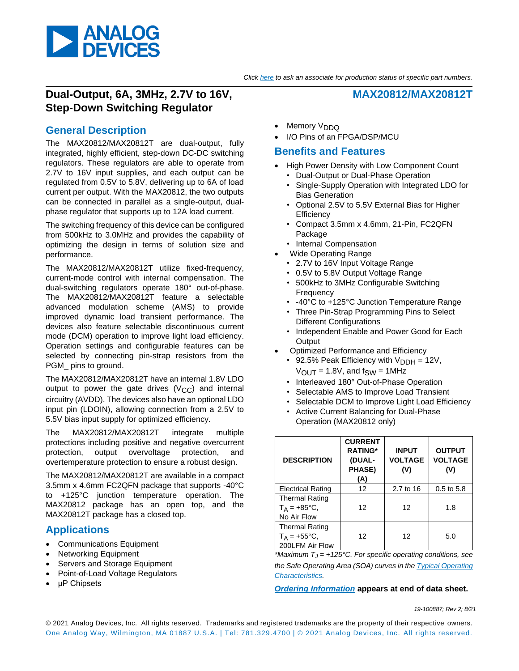

## **Dual-Output, 6A, 3MHz, 2.7V to 16V, Step-Down Switching Regulator**

## **General Description**

The MAX20812/MAX20812T are dual-output, fully integrated, highly efficient, step-down DC-DC switching regulators. These regulators are able to operate from 2.7V to 16V input supplies, and each output can be regulated from 0.5V to 5.8V, delivering up to 6A of load current per output. With the MAX20812, the two outputs can be connected in parallel as a single-output, dualphase regulator that supports up to 12A load current.

The switching frequency of this device can be configured from 500kHz to 3.0MHz and provides the capability of optimizing the design in terms of solution size and performance.

The MAX20812/MAX20812T utilize fixed-frequency, current-mode control with internal compensation. The dual-switching regulators operate 180° out-of-phase. The MAX20812/MAX20812T feature a selectable advanced modulation scheme (AMS) to provide improved dynamic load transient performance. The devices also feature selectable discontinuous current mode (DCM) operation to improve light load efficiency. Operation settings and configurable features can be selected by connecting pin-strap resistors from the PGM\_ pins to ground.

The MAX20812/MAX20812T have an internal 1.8V LDO output to power the gate drives  $(V_{CC})$  and internal circuitry (AVDD). The devices also have an optional LDO input pin (LDOIN), allowing connection from a 2.5V to 5.5V bias input supply for optimized efficiency.

The MAX20812/MAX20812T integrate multiple protections including positive and negative overcurrent protection, output overvoltage protection, and overtemperature protection to ensure a robust design.

The MAX20812/MAX20812T are available in a compact 3.5mm x 4.6mm FC2QFN package that supports -40°C to +125°C junction temperature operation. The MAX20812 package has an open top, and the MAX20812T package has a closed top.

## **Applications**

- Communications Equipment
- Networking Equipment
- Servers and Storage Equipment
- Point-of-Load Voltage Regulators
- μP Chipsets
- Memory V<sub>DDQ</sub>
- I/O Pins of an FPGA/DSP/MCU

### **Benefits and Features**

- High Power Density with Low Component Count
	- Dual-Output or Dual-Phase Operation
	- Single-Supply Operation with Integrated LDO for Bias Generation

**MAX20812/MAX20812T**

- Optional 2.5V to 5.5V External Bias for Higher **Efficiency**
- Compact 3.5mm x 4.6mm, 21-Pin, FC2QFN Package
- Internal Compensation
- Wide Operating Range
	- 2.7V to 16V Input Voltage Range
	- 0.5V to 5.8V Output Voltage Range
	- 500kHz to 3MHz Configurable Switching **Frequency**
	- -40°C to +125°C Junction Temperature Range
	- Three Pin-Strap Programming Pins to Select Different Configurations
	- Independent Enable and Power Good for Each **Output**
- Optimized Performance and Efficiency
	- 92.5% Peak Efficiency with  $V_{\text{DDH}} = 12V$ ,  $V_{\text{OUT}} = 1.8V$ , and  $f_{\text{SW}} = 1$ MHz
	- Interleaved 180° Out-of-Phase Operation
	- Selectable AMS to Improve Load Transient
	- Selectable DCM to Improve Light Load Efficiency
	- Active Current Balancing for Dual-Phase Operation (MAX20812 only)

| <b>DESCRIPTION</b>                                                | <b>CURRENT</b><br><b>RATING*</b><br>(DUAL-<br>PHASE)<br>(A) | <b>INPUT</b><br><b>VOLTAGE</b><br>(V) | <b>OUTPUT</b><br><b>VOLTAGE</b><br>(V) |
|-------------------------------------------------------------------|-------------------------------------------------------------|---------------------------------------|----------------------------------------|
| <b>Electrical Rating</b>                                          | 12                                                          | 2.7 to 16                             | $0.5$ to $5.8$                         |
| <b>Thermal Rating</b><br>$T_A = +85^{\circ}C,$<br>No Air Flow     | 12                                                          | 12                                    | 1.8                                    |
| <b>Thermal Rating</b><br>$T_A = +55^{\circ}C,$<br>200LFM Air Flow | 12                                                          | 12                                    | 5.0                                    |

*\*Maximum TJ = +125°C. For specific operating conditions, see the Safe Operating Area (SOA) curves in the Typical Operating Characteristics.*

*[Ordering Information](#page-24-0)* **appears at end of data sheet.**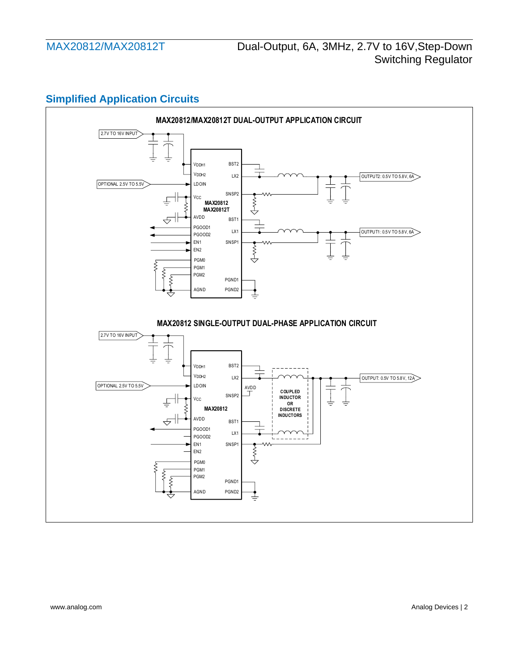# **Simplified Application Circuits**

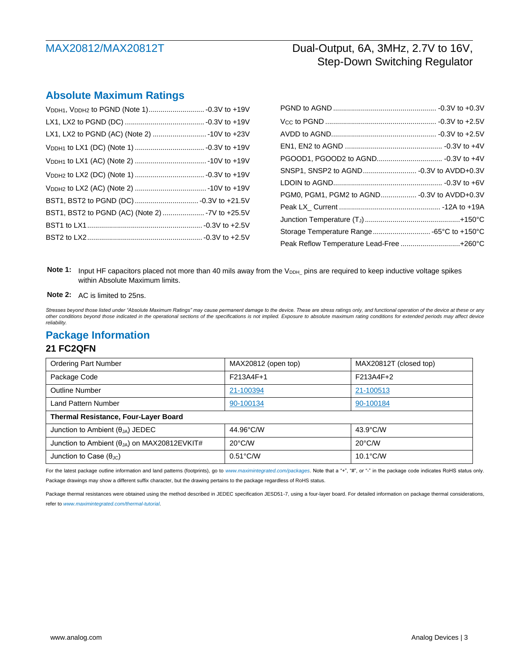## **Absolute Maximum Ratings**

| BST1, BST2 to PGND (AC) (Note 2)  -7V to +25.5V |  |
|-------------------------------------------------|--|
|                                                 |  |
|                                                 |  |
|                                                 |  |

| Storage Temperature Range -65°C to +150°C |  |
|-------------------------------------------|--|
| Peak Reflow Temperature Lead-Free +260°C  |  |
|                                           |  |

Note 1: Input HF capacitors placed not more than 40 mils away from the V<sub>DDH</sub> pins are required to keep inductive voltage spikes within Absolute Maximum limits.

**Note 2:** AC is limited to 25ns.

*Stresses beyond those listed under "Absolute Maximum Ratings" may cause permanent damage to the device. These are stress ratings only, and functional operation of the device at these or any other conditions beyond those indicated in the operational sections of the specifications is not implied. Exposure to absolute maximum rating conditions for extended periods may affect device reliability.*

### **Package Information**

### **21 FC2QFN**

| <b>Ordering Part Number</b>                           | MAX20812 (open top) | MAX20812T (closed top) |  |  |  |
|-------------------------------------------------------|---------------------|------------------------|--|--|--|
| Package Code                                          | F213A4F+1           | F213A4F+2              |  |  |  |
| <b>Outline Number</b>                                 | 21-100394           | 21-100513              |  |  |  |
| Land Pattern Number                                   | 90-100134           | 90-100184              |  |  |  |
| Thermal Resistance, Four-Layer Board                  |                     |                        |  |  |  |
| Junction to Ambient $(\theta_{JA})$ JEDEC             | 44.96°C/W           | $43.9^{\circ}$ C/W     |  |  |  |
| Junction to Ambient $(\theta_{JA})$ on MAX20812EVKIT# | $20^{\circ}$ C/W    | $20^{\circ}$ C/W       |  |  |  |
| Junction to Case $(\theta_{\text{JC}})$               | $0.51^{\circ}$ C/W  | $10.1^{\circ}$ C/W     |  |  |  |

For the latest package outline information and land patterns (footprints), go to *www.maximintegrated.com/packages*. Note that a "+", "#", or "-" in the package code indicates RoHS status only. Package drawings may show a different suffix character, but the drawing pertains to the package regardless of RoHS status.

Package thermal resistances were obtained using the method described in JEDEC specification JESD51-7, using a four-layer board. For detailed information on package thermal considerations, refer to *www.maximintegrated.com/thermal-tutorial*.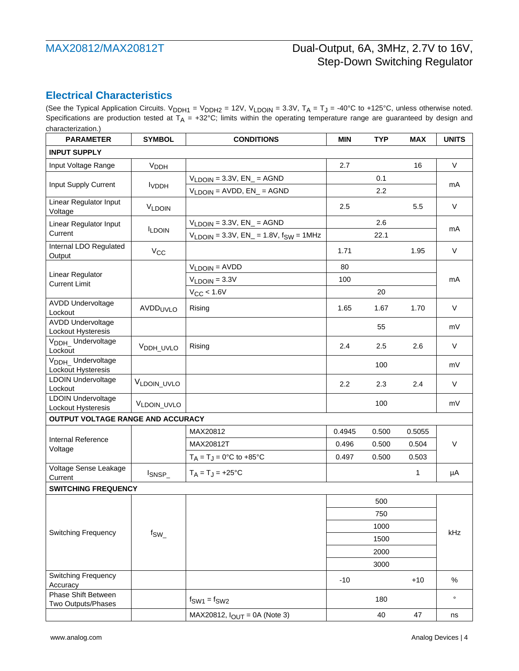## **Electrical Characteristics**

(See the [Typical Application Circuits.](#page-22-0)  $V_{DDH1} = V_{DDH2} = 12V$ ,  $V_{LDOIN} = 3.3V$ ,  $T_A = T_J = -40^{\circ}C$  to +125°C, unless otherwise noted. Specifications are production tested at  $T_A$  = +32°C; limits within the operating temperature range are guaranteed by design and characterization.)

| <b>INPUT SUPPLY</b>                                                                                                    | $\vee$  |  |
|------------------------------------------------------------------------------------------------------------------------|---------|--|
|                                                                                                                        |         |  |
| Input Voltage Range<br>2.7<br>16<br><b>V<sub>DDH</sub></b>                                                             |         |  |
| $V_{LDOIN} = 3.3V$ , $EN_{-} = AGND$<br>0.1                                                                            |         |  |
| Input Supply Current<br><b>I</b> VDDH<br>$V_{LDOIN} = AVDD, EN_{} = AGND$<br>2.2                                       | mA      |  |
| Linear Regulator Input<br>2.5<br>5.5<br>V <sub>LDOIN</sub><br>Voltage                                                  | $\vee$  |  |
| $V_{LDOIN} = 3.3V$ , $EN_{-} = AGND$<br>2.6<br>Linear Regulator Input                                                  | mA      |  |
| <b>ILDOIN</b><br>Current<br>$V_{LDOIN} = 3.3V$ , $EN_{-} = 1.8V$ , $f_{SW} = 1MHz$<br>22.1                             |         |  |
| Internal LDO Regulated<br>$V_{CC}$<br>1.71<br>1.95<br>Output                                                           | $\vee$  |  |
| $VLDOIN = AVDD$<br>80                                                                                                  |         |  |
| Linear Regulator<br>100<br>$VLDOIN = 3.3V$<br><b>Current Limit</b>                                                     | mA      |  |
| $V_{CC}$ < 1.6V<br>20                                                                                                  |         |  |
| <b>AVDD Undervoltage</b><br>AVDD <sub>UVLO</sub><br>Rising<br>1.65<br>1.67<br>1.70<br>Lockout                          | V       |  |
| <b>AVDD Undervoltage</b><br>55                                                                                         | mV      |  |
| Lockout Hysteresis<br>V <sub>DDH</sub> Undervoltage<br>Rising<br>2.4<br>2.5<br>2.6<br>V <sub>DDH_UVLO</sub><br>Lockout | $\vee$  |  |
| V <sub>DDH</sub> Undervoltage<br>100<br>Lockout Hysteresis                                                             | mV      |  |
| <b>LDOIN Undervoltage</b><br>VLDOIN_UVLO<br>2.2<br>2.3<br>2.4<br>Lockout                                               | $\vee$  |  |
| <b>LDOIN Undervoltage</b><br>100<br>VLDOIN_UVLO<br>Lockout Hysteresis                                                  | mV      |  |
| OUTPUT VOLTAGE RANGE AND ACCURACY                                                                                      |         |  |
| MAX20812<br>0.4945<br>0.500<br>0.5055                                                                                  |         |  |
| Internal Reference<br>MAX20812T<br>0.496<br>0.500<br>0.504<br>Voltage                                                  | $\vee$  |  |
| $T_A = T_J = 0$ °C to +85°C<br>0.497<br>0.500<br>0.503                                                                 |         |  |
| Voltage Sense Leakage<br>$T_A = T_J = +25$ °C<br>1<br>ISNSP<br>Current                                                 | μA      |  |
| <b>SWITCHING FREQUENCY</b>                                                                                             |         |  |
| 500                                                                                                                    |         |  |
| 750                                                                                                                    |         |  |
| 1000                                                                                                                   |         |  |
| <b>Switching Frequency</b><br>$f_{SW_{-}}$<br>1500                                                                     | kHz     |  |
| 2000                                                                                                                   |         |  |
| 3000                                                                                                                   |         |  |
| <b>Switching Frequency</b><br>$-10$<br>$+10$<br>Accuracy                                                               | %       |  |
| Phase Shift Between<br>180<br>$f_{SW1} = f_{SW2}$                                                                      | $\circ$ |  |
| Two Outputs/Phases<br>40<br>47<br>MAX20812, $I_{OUTT}$ = 0A (Note 3)                                                   | ns      |  |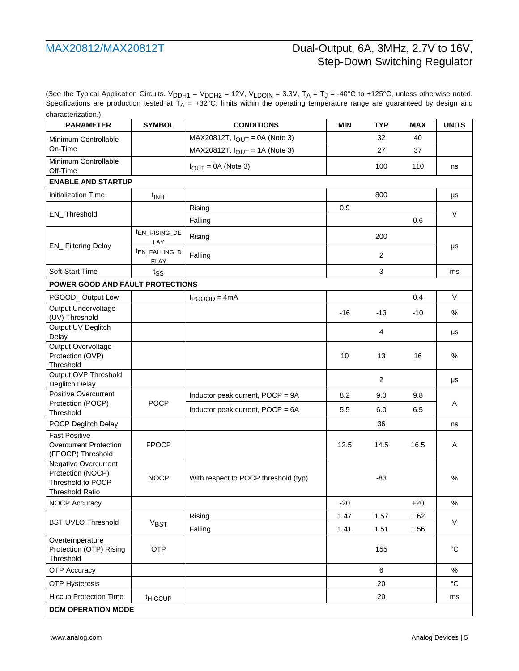(See the [Typical Application Circuits.](#page-22-0) V<sub>DDH1</sub> = V<sub>DDH2</sub> = 12V, V<sub>LDOIN</sub> = 3.3V, T<sub>A</sub> = T<sub>J</sub> = -40°C to +125°C, unless otherwise noted. Specifications are production tested at  $T_A$  = +32°C; limits within the operating temperature range are guaranteed by design and characterization.)

| <b>PARAMETER</b>                                                                         | <b>SYMBOL</b>                     | <b>CONDITIONS</b>                    | <b>MIN</b>           | <b>TYP</b>     | <b>MAX</b> | <b>UNITS</b> |
|------------------------------------------------------------------------------------------|-----------------------------------|--------------------------------------|----------------------|----------------|------------|--------------|
| Minimum Controllable                                                                     |                                   | MAX20812T, $I_{OUT} = 0A$ (Note 3)   |                      | 32             | 40         |              |
| On-Time                                                                                  |                                   | MAX20812T, $I_{OUT}$ = 1A (Note 3)   |                      | 27             | 37         |              |
| Minimum Controllable<br>Off-Time                                                         |                                   | $I_{\text{OUT}} = 0A$ (Note 3)       |                      | 100            | 110        | ns           |
| <b>ENABLE AND STARTUP</b>                                                                |                                   |                                      |                      |                |            |              |
| <b>Initialization Time</b>                                                               | t <sub>INIT</sub>                 |                                      |                      | 800            |            | μs           |
|                                                                                          |                                   | Rising                               | 0.9                  |                |            | $\vee$       |
| EN_Threshold                                                                             |                                   | Falling                              |                      |                | 0.6        |              |
| EN_ Filtering Delay                                                                      | ten RISING DE<br>LAY              | Rising                               |                      | 200            |            | μs           |
|                                                                                          | t <sub>EN_FALLING_D</sub><br>ELAY | Falling                              |                      | $\overline{c}$ |            |              |
| Soft-Start Time                                                                          | tss                               |                                      |                      | 3              |            | ms           |
| POWER GOOD AND FAULT PROTECTIONS                                                         |                                   |                                      |                      |                |            |              |
| PGOOD_Output Low                                                                         |                                   | $I_{PGOOD} = 4mA$                    |                      |                | 0.4        | $\vee$       |
| Output Undervoltage<br>(UV) Threshold                                                    |                                   |                                      | $-16$                | $-13$          | -10        | %            |
| Output UV Deglitch<br>Delay                                                              |                                   |                                      |                      | 4              |            | μs           |
| Output Overvoltage<br>Protection (OVP)<br>Threshold                                      |                                   |                                      | 10                   | 13             | 16         | $\%$         |
| Output OVP Threshold<br>Deglitch Delay                                                   |                                   |                                      |                      | $\overline{2}$ |            | μs           |
| Positive Overcurrent                                                                     |                                   | Inductor peak current, POCP = 9A     | 8.2                  | 9.0            | 9.8        |              |
| Protection (POCP)<br>Threshold                                                           | <b>POCP</b>                       | Inductor peak current, POCP = 6A     | 5.5                  | 6.0            | 6.5        | A            |
| POCP Deglitch Delay                                                                      |                                   |                                      |                      | 36             |            | ns           |
| <b>Fast Positive</b><br><b>Overcurrent Protection</b><br>(FPOCP) Threshold               | <b>FPOCP</b>                      |                                      | 12.5                 | 14.5           | 16.5       | A            |
| Negative Overcurrent<br>Protection (NOCP)<br>Threshold to POCP<br><b>Threshold Ratio</b> | <b>NOCP</b>                       | With respect to POCP threshold (typ) |                      | $-83$          |            | $\%$         |
| <b>NOCP Accuracy</b>                                                                     |                                   |                                      | $-20$                |                | $+20$      | $\%$         |
| <b>BST UVLO Threshold</b>                                                                |                                   | Rising                               | 1.47                 | 1.57           | 1.62       |              |
|                                                                                          | $V_{\text{BST}}$                  | Falling                              | 1.41<br>1.51<br>1.56 |                |            | $\vee$       |
| Overtemperature<br>Protection (OTP) Rising<br>Threshold                                  | <b>OTP</b>                        |                                      |                      | 155            |            | $^{\circ}$ C |
| <b>OTP Accuracy</b>                                                                      |                                   |                                      |                      | 6              |            | $\%$         |
| <b>OTP Hysteresis</b>                                                                    |                                   |                                      |                      | 20             |            | $^{\circ}C$  |
| <b>Hiccup Protection Time</b>                                                            | thiccup                           |                                      |                      | 20             |            | ms           |
| <b>DCM OPERATION MODE</b>                                                                |                                   |                                      |                      |                |            |              |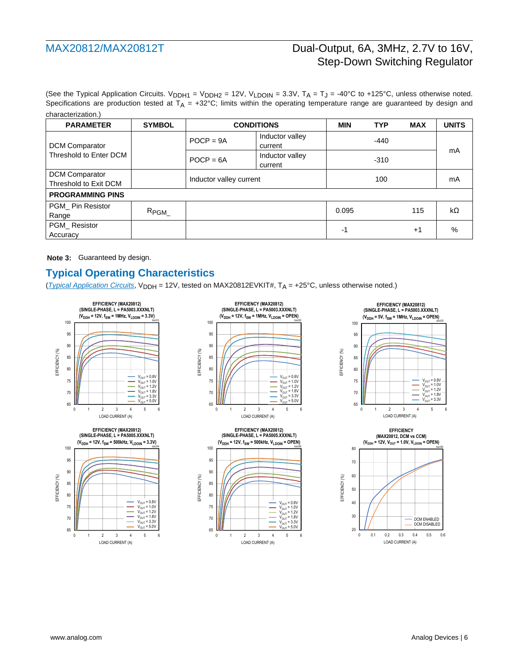(See the [Typical Application Circuits.](#page-22-0) V<sub>DDH1</sub> = V<sub>DDH2</sub> = 12V, V<sub>LDOIN</sub> = 3.3V, T<sub>A</sub> = T<sub>J</sub> = -40°C to +125°C, unless otherwise noted. Specifications are production tested at  $T_A = +32^{\circ}C$ ; limits within the operating temperature range are guaranteed by design and characterization.)

| <b>PARAMETER</b>                        | <b>SYMBOL</b>    | <b>CONDITIONS</b>       |                            | <b>MIN</b> | <b>TYP</b> | <b>MAX</b> | <b>UNITS</b>  |
|-----------------------------------------|------------------|-------------------------|----------------------------|------------|------------|------------|---------------|
| <b>DCM Comparator</b>                   |                  | $POCP = 9A$             | Inductor valley<br>current |            | $-440$     |            |               |
| Threshold to Enter DCM                  |                  | $POCP = 6A$             | Inductor valley<br>current |            | $-310$     |            | mA            |
| DCM Comparator<br>Threshold to Exit DCM |                  | Inductor valley current |                            |            | 100        |            | mA            |
| <b>PROGRAMMING PINS</b>                 |                  |                         |                            |            |            |            |               |
| PGM Pin Resistor<br>Range               | R <sub>PGM</sub> |                         |                            | 0.095      |            | 115        | kΩ            |
| PGM Resistor<br>Accuracy                |                  |                         |                            | -1         |            | $+1$       | $\frac{0}{0}$ |

**Note 3:** Guaranteed by design.

## **Typical Operating Characteristics**

(*[Typical Application Circuits](#page-22-0)*, V<sub>DDH</sub> = 12V, tested on MAX20812EVKIT#, T<sub>A</sub> = +25°C, unless otherwise noted.)

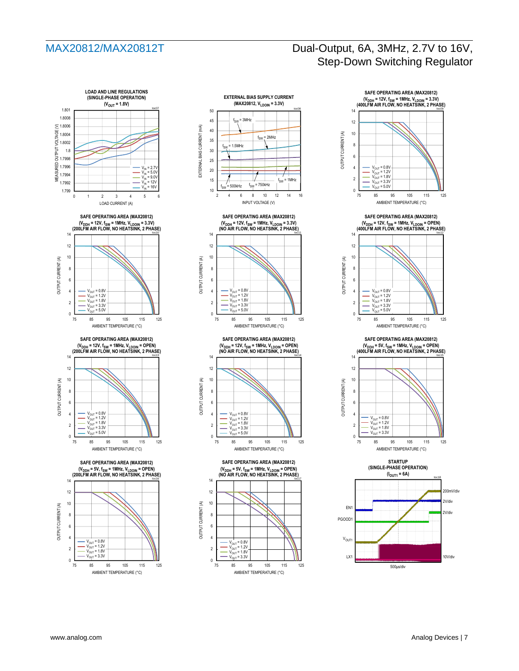











**STARTUP (SINGLE-PHASE OPERATION)**

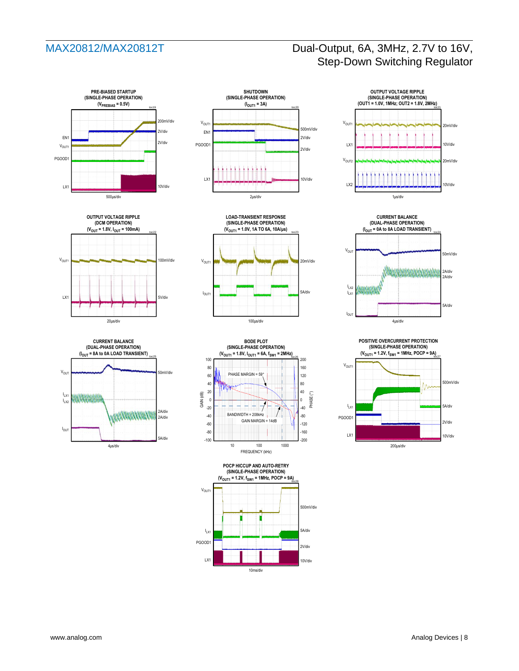

















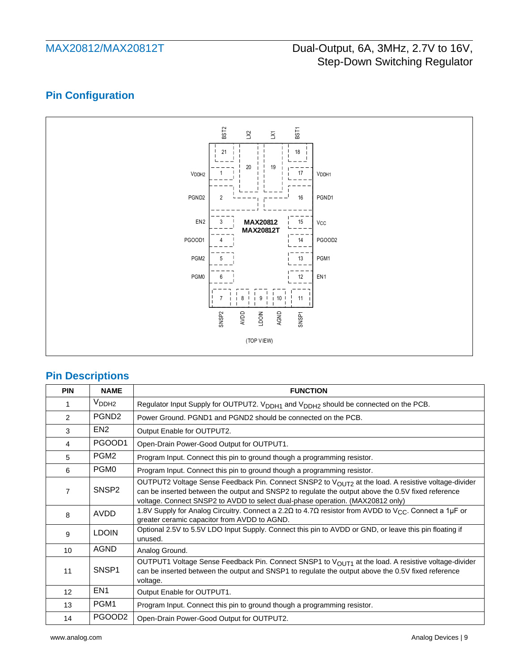# **Pin Configuration**



## **Pin Descriptions**

| <b>PIN</b>     | <b>NAME</b>        | <b>FUNCTION</b>                                                                                                                                                                                                                                                                                         |
|----------------|--------------------|---------------------------------------------------------------------------------------------------------------------------------------------------------------------------------------------------------------------------------------------------------------------------------------------------------|
|                | V <sub>DDH2</sub>  | Regulator Input Supply for OUTPUT2. V <sub>DDH1</sub> and V <sub>DDH2</sub> should be connected on the PCB.                                                                                                                                                                                             |
| $\overline{2}$ | PGND <sub>2</sub>  | Power Ground. PGND1 and PGND2 should be connected on the PCB.                                                                                                                                                                                                                                           |
| 3              | EN <sub>2</sub>    | Output Enable for OUTPUT2.                                                                                                                                                                                                                                                                              |
| $\overline{4}$ | PGOOD1             | Open-Drain Power-Good Output for OUTPUT1.                                                                                                                                                                                                                                                               |
| 5              | PGM <sub>2</sub>   | Program Input. Connect this pin to ground though a programming resistor.                                                                                                                                                                                                                                |
| 6              | PGM <sub>0</sub>   | Program Input. Connect this pin to ground though a programming resistor.                                                                                                                                                                                                                                |
| $\overline{7}$ | SNSP <sub>2</sub>  | OUTPUT2 Voltage Sense Feedback Pin. Connect SNSP2 to V <sub>OUT2</sub> at the load. A resistive voltage-divider<br>can be inserted between the output and SNSP2 to regulate the output above the 0.5V fixed reference<br>voltage. Connect SNSP2 to AVDD to select dual-phase operation. (MAX20812 only) |
| 8              | AVDD               | 1.8V Supply for Analog Circuitry. Connect a 2.2 $\Omega$ to 4.7 $\Omega$ resistor from AVDD to V <sub>CC</sub> . Connect a 1µF or<br>greater ceramic capacitor from AVDD to AGND.                                                                                                                       |
| 9              | <b>LDOIN</b>       | Optional 2.5V to 5.5V LDO Input Supply. Connect this pin to AVDD or GND, or leave this pin floating if<br>unused.                                                                                                                                                                                       |
| 10             | <b>AGND</b>        | Analog Ground.                                                                                                                                                                                                                                                                                          |
| 11             | SNSP1              | OUTPUT1 Voltage Sense Feedback Pin. Connect SNSP1 to V <sub>OUT1</sub> at the load. A resistive voltage-divider<br>can be inserted between the output and SNSP1 to regulate the output above the 0.5V fixed reference<br>voltage.                                                                       |
| 12             | EN <sub>1</sub>    | Output Enable for OUTPUT1.                                                                                                                                                                                                                                                                              |
| 13             | PGM1               | Program Input. Connect this pin to ground though a programming resistor.                                                                                                                                                                                                                                |
| 14             | PGOOD <sub>2</sub> | Open-Drain Power-Good Output for OUTPUT2.                                                                                                                                                                                                                                                               |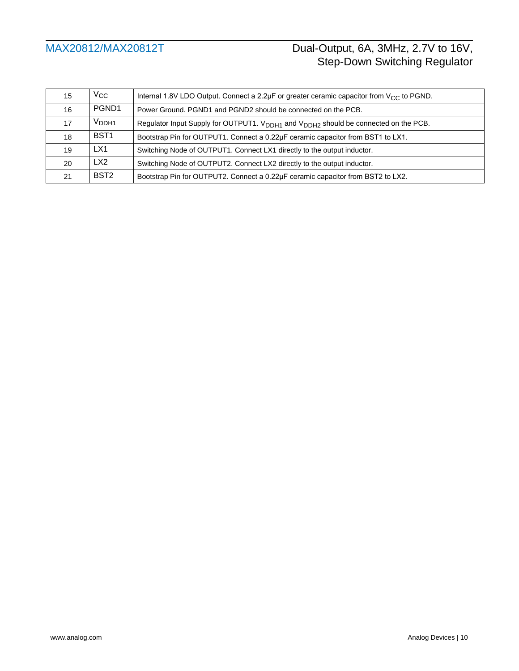| 15 | $\rm V_{CC}$      | Internal 1.8V LDO Output. Connect a 2.2µF or greater ceramic capacitor from $V_{CC}$ to PGND.               |
|----|-------------------|-------------------------------------------------------------------------------------------------------------|
| 16 | PGND1             | Power Ground. PGND1 and PGND2 should be connected on the PCB.                                               |
| 17 | V <sub>DDH1</sub> | Regulator Input Supply for OUTPUT1. V <sub>DDH1</sub> and V <sub>DDH2</sub> should be connected on the PCB. |
| 18 | BST <sub>1</sub>  | Bootstrap Pin for OUTPUT1. Connect a 0.22µF ceramic capacitor from BST1 to LX1.                             |
| 19 | LX1               | Switching Node of OUTPUT1. Connect LX1 directly to the output inductor.                                     |
| 20 | LX <sub>2</sub>   | Switching Node of OUTPUT2. Connect LX2 directly to the output inductor.                                     |
| 21 | BST <sub>2</sub>  | Bootstrap Pin for OUTPUT2. Connect a 0.22µF ceramic capacitor from BST2 to LX2.                             |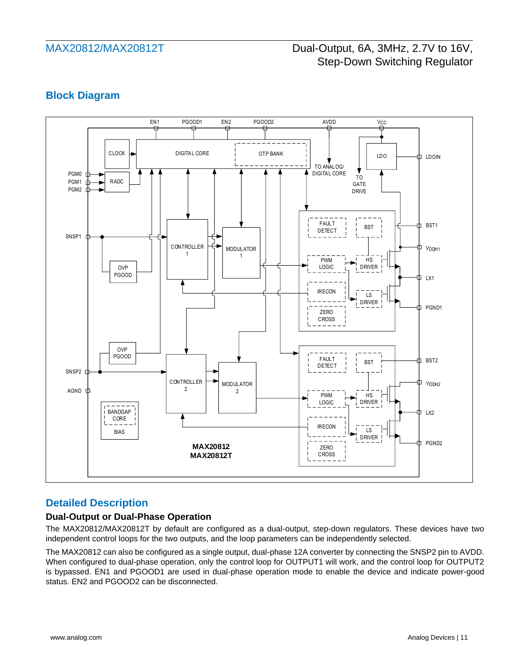## **Block Diagram**



## **Detailed Description**

### **Dual-Output or Dual-Phase Operation**

The MAX20812/MAX20812T by default are configured as a dual-output, step-down regulators. These devices have two independent control loops for the two outputs, and the loop parameters can be independently selected.

The MAX20812 can also be configured as a single output, dual-phase 12A converter by connecting the SNSP2 pin to AVDD. When configured to dual-phase operation, only the control loop for OUTPUT1 will work, and the control loop for OUTPUT2 is bypassed. EN1 and PGOOD1 are used in dual-phase operation mode to enable the device and indicate power-good status. EN2 and PGOOD2 can be disconnected.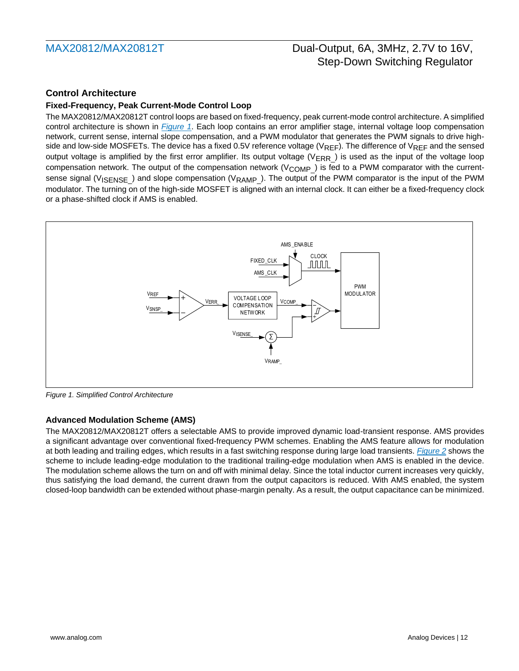## **Control Architecture**

### **Fixed-Frequency, Peak Current-Mode Control Loop**

The MAX20812/MAX20812T control loops are based on fixed-frequency, peak current-mode control architecture. A simplified control architecture is shown in *[Figure 1](#page-11-0)*. Each loop contains an error amplifier stage, internal voltage loop compensation network, current sense, internal slope compensation, and a PWM modulator that generates the PWM signals to drive highside and low-side MOSFETs. The device has a fixed 0.5V reference voltage ( $V_{REF}$ ). The difference of  $V_{REF}$  and the sensed output voltage is amplified by the first error amplifier. Its output voltage ( $V_{\sf{ERR}}$ ) is used as the input of the voltage loop compensation network. The output of the compensation network (V<sub>COMP\_</sub>) is fed to a PWM comparator with the currentsense signal (V<sub>ISENSE</sub>) and slope compensation (V<sub>RAMP</sub>). The output of the PWM comparator is the input of the PWM modulator. The turning on of the high-side MOSFET is aligned with an internal clock. It can either be a fixed-frequency clock or a phase-shifted clock if AMS is enabled.



<span id="page-11-0"></span>*Figure 1. Simplified Control Architecture*

### **Advanced Modulation Scheme (AMS)**

The MAX20812/MAX20812T offers a selectable AMS to provide improved dynamic load-transient response. AMS provides a significant advantage over conventional fixed-frequency PWM schemes. Enabling the AMS feature allows for modulation at both leading and trailing edges, which results in a fast switching response during large load transients. *[Figure 2](#page-12-0)* shows the scheme to include leading-edge modulation to the traditional trailing-edge modulation when AMS is enabled in the device. The modulation scheme allows the turn on and off with minimal delay. Since the total inductor current increases very quickly, thus satisfying the load demand, the current drawn from the output capacitors is reduced. With AMS enabled, the system closed-loop bandwidth can be extended without phase-margin penalty. As a result, the output capacitance can be minimized.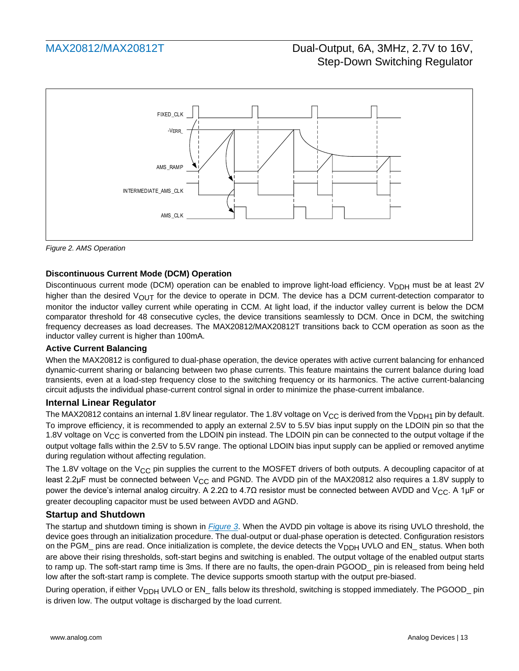

<span id="page-12-0"></span>*Figure 2. AMS Operation*

### **Discontinuous Current Mode (DCM) Operation**

Discontinuous current mode (DCM) operation can be enabled to improve light-load efficiency. V<sub>DDH</sub> must be at least 2V higher than the desired  $V_{\text{OUT}}$  for the device to operate in DCM. The device has a DCM current-detection comparator to monitor the inductor valley current while operating in CCM. At light load, if the inductor valley current is below the DCM comparator threshold for 48 consecutive cycles, the device transitions seamlessly to DCM. Once in DCM, the switching frequency decreases as load decreases. The MAX20812/MAX20812T transitions back to CCM operation as soon as the inductor valley current is higher than 100mA.

### **Active Current Balancing**

When the MAX20812 is configured to dual-phase operation, the device operates with active current balancing for enhanced dynamic-current sharing or balancing between two phase currents. This feature maintains the current balance during load transients, even at a load-step frequency close to the switching frequency or its harmonics. The active current-balancing circuit adjusts the individual phase-current control signal in order to minimize the phase-current imbalance.

### **Internal Linear Regulator**

The MAX20812 contains an internal 1.8V linear regulator. The 1.8V voltage on V<sub>CC</sub> is derived from the V<sub>DDH1</sub> pin by default. To improve efficiency, it is recommended to apply an external 2.5V to 5.5V bias input supply on the LDOIN pin so that the 1.8V voltage on  $V_{CC}$  is converted from the LDOIN pin instead. The LDOIN pin can be connected to the output voltage if the output voltage falls within the 2.5V to 5.5V range. The optional LDOIN bias input supply can be applied or removed anytime during regulation without affecting regulation.

The 1.8V voltage on the V<sub>CC</sub> pin supplies the current to the MOSFET drivers of both outputs. A decoupling capacitor of at least 2.2μF must be connected between V<sub>CC</sub> and PGND. The AVDD pin of the MAX20812 also requires a 1.8V supply to power the device's internal analog circuitry. A 2.2Ω to 4.7Ω resistor must be connected between AVDD and V<sub>CC</sub>. A 1µF or greater decoupling capacitor must be used between AVDD and AGND.

### <span id="page-12-1"></span>**Startup and Shutdown**

The startup and shutdown timing is shown in *[Figure 3](#page-13-0)*. When the AVDD pin voltage is above its rising UVLO threshold, the device goes through an initialization procedure. The dual-output or dual-phase operation is detected. Configuration resistors on the PGM\_ pins are read. Once initialization is complete, the device detects the V<sub>DDH</sub> UVLO and EN\_ status. When both are above their rising thresholds, soft-start begins and switching is enabled. The output voltage of the enabled output starts to ramp up. The soft-start ramp time is 3ms. If there are no faults, the open-drain PGOOD\_ pin is released from being held low after the soft-start ramp is complete. The device supports smooth startup with the output pre-biased.

During operation, if either V<sub>DDH</sub> UVLO or EN\_ falls below its threshold, switching is stopped immediately. The PGOOD\_ pin is driven low. The output voltage is discharged by the load current.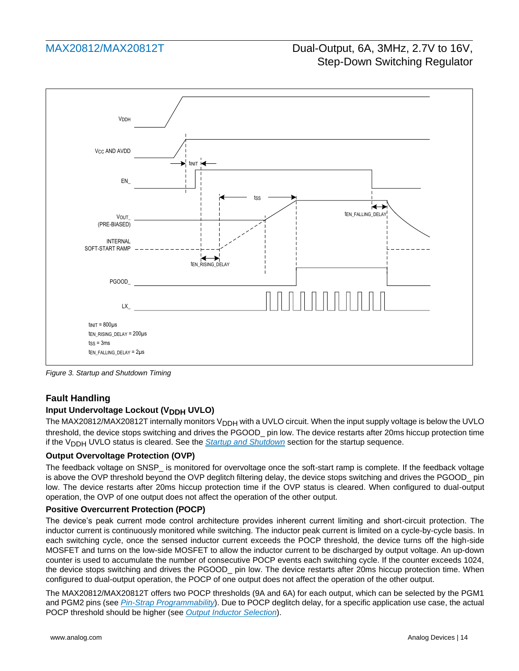

<span id="page-13-0"></span>*Figure 3. Startup and Shutdown Timing*

## **Fault Handling**

### **Input Undervoltage Lockout (V<sub>DDH</sub> UVLO)**

The MAX20812/MAX20812T internally monitors V<sub>DDH</sub> with a UVLO circuit. When the input supply voltage is below the UVLO threshold, the device stops switching and drives the PGOOD\_ pin low. The device restarts after 20ms hiccup protection time if the V<sub>DDH</sub> UVLO status is cleared. See the **[Startup and Shutdown](#page-12-1)** section for the startup sequence.

#### **Output Overvoltage Protection (OVP)**

The feedback voltage on SNSP is monitored for overvoltage once the soft-start ramp is complete. If the feedback voltage is above the OVP threshold beyond the OVP deglitch filtering delay, the device stops switching and drives the PGOOD\_ pin low. The device restarts after 20ms hiccup protection time if the OVP status is cleared. When configured to dual-output operation, the OVP of one output does not affect the operation of the other output.

#### **Positive Overcurrent Protection (POCP)**

The device's peak current mode control architecture provides inherent current limiting and short-circuit protection. The inductor current is continuously monitored while switching. The inductor peak current is limited on a cycle-by-cycle basis. In each switching cycle, once the sensed inductor current exceeds the POCP threshold, the device turns off the high-side MOSFET and turns on the low-side MOSFET to allow the inductor current to be discharged by output voltage. An up-down counter is used to accumulate the number of consecutive POCP events each switching cycle. If the counter exceeds 1024, the device stops switching and drives the PGOOD\_ pin low. The device restarts after 20ms hiccup protection time. When configured to dual-output operation, the POCP of one output does not affect the operation of the other output.

The MAX20812/MAX20812T offers two POCP thresholds (9A and 6A) for each output, which can be selected by the PGM1 and PGM2 pins (see *[Pin-Strap Programmability](#page-14-0)*). Due to POCP deglitch delay, for a specific application use case, the actual POCP threshold should be higher (see *Output Inductor Selection*).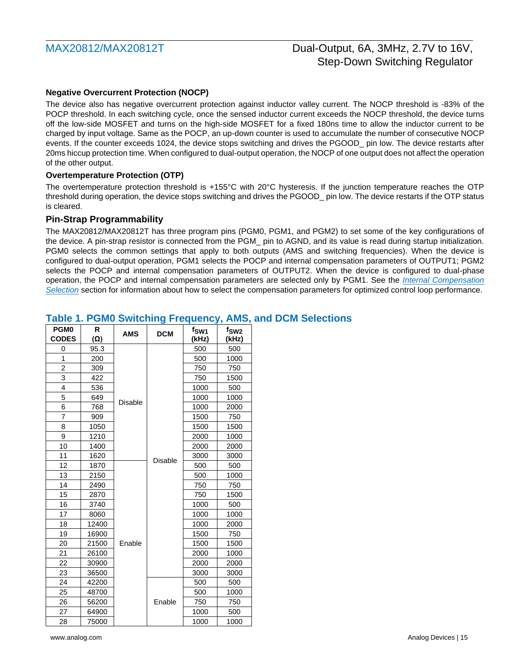#### **Negative Overcurrent Protection (NOCP)**

The device also has negative overcurrent protection against inductor valley current. The NOCP threshold is -83% of the POCP threshold. In each switching cycle, once the sensed inductor current exceeds the NOCP threshold, the device turns off the low-side MOSFET and turns on the high-side MOSFET for a fixed 180ns time to allow the inductor current to be charged by input voltage. Same as the POCP, an up-down counter is used to accumulate the number of consecutive NOCP events. If the counter exceeds 1024, the device stops switching and drives the PGOOD\_ pin low. The device restarts after 20ms hiccup protection time. When configured to dual-output operation, the NOCP of one output does not affect the operation of the other output.

#### **Overtemperature Protection (OTP)**

The overtemperature protection threshold is +155°C with 20°C hysteresis. If the junction temperature reaches the OTP threshold during operation, the device stops switching and drives the PGOOD\_ pin low. The device restarts if the OTP status is cleared.

#### <span id="page-14-0"></span>**Pin-Strap Programmability**

The MAX20812/MAX20812T has three program pins (PGM0, PGM1, and PGM2) to set some of the key configurations of the device. A pin-strap resistor is connected from the PGM\_ pin to AGND, and its value is read during startup initialization. PGM0 selects the common settings that apply to both outputs (AMS and switching frequencies). When the device is configured to dual-output operation, PGM1 selects the POCP and internal compensation parameters of OUTPUT1; PGM2 selects the POCP and internal compensation parameters of OUTPUT2. When the device is configured to dual-phase operation, the POCP and internal compensation parameters are selected only by PGM1. See the *[Internal Compensation](#page-19-0)  [Selection](#page-19-0)* section for information about how to select the compensation parameters for optimized control loop performance.

| PGM <sub>0</sub> | R          | <b>AMS</b> | <b>DCM</b>     | f <sub>SW1</sub> | f <sub>SW2</sub> |
|------------------|------------|------------|----------------|------------------|------------------|
| <b>CODES</b>     | $(\Omega)$ |            |                | (kHz)            | (kHz)            |
| 0                | 95.3       |            |                | 500              | 500              |
| 1                | 200        |            | 500            | 1000             |                  |
| $\overline{2}$   | 309        |            | 750            | 750              |                  |
| 3                | 422        |            |                | 750              | 1500             |
| 4                | 536        |            |                | 1000             | 500              |
| 5                | 649        | Disable    |                | 1000             | 1000             |
| 6                | 768        |            |                | 1000             | 2000             |
| $\overline{7}$   | 909        |            |                | 1500             | 750              |
| 8                | 1050       |            |                | 1500             | 1500             |
| 9                | 1210       |            |                | 2000             | 1000             |
| 10               | 1400       |            |                | 2000             | 2000             |
| 11               | 1620       |            | <b>Disable</b> | 3000             | 3000             |
| 12               | 1870       |            |                | 500              | 500              |
| 13               | 2150       |            |                | 500              | 1000             |
| 14               | 2490       |            |                | 750              | 750              |
| 15               | 2870       |            |                | 750              | 1500             |
| 16               | 3740       |            |                | 1000             | 500              |
| 17               | 8060       |            |                | 1000             | 1000             |
| 18               | 12400      |            |                | 1000             | 2000             |
| 19               | 16900      |            |                | 1500             | 750              |
| 20               | 21500      | Enable     |                | 1500             | 1500             |
| 21               | 26100      |            |                | 2000             | 1000             |
| 22               | 30900      |            |                | 2000             | 2000             |
| 23               | 36500      |            |                | 3000             | 3000             |
| 24               | 42200      |            | Enable         |                  | 500              |
| 25               | 48700      |            |                |                  | 1000             |
| 26               | 56200      |            |                |                  | 750              |
| 27               | 64900      |            |                |                  | 500              |
| 28               | 75000      |            |                | 1000             | 1000             |

### **Table 1. PGM0 Switching Frequency, AMS, and DCM Selections**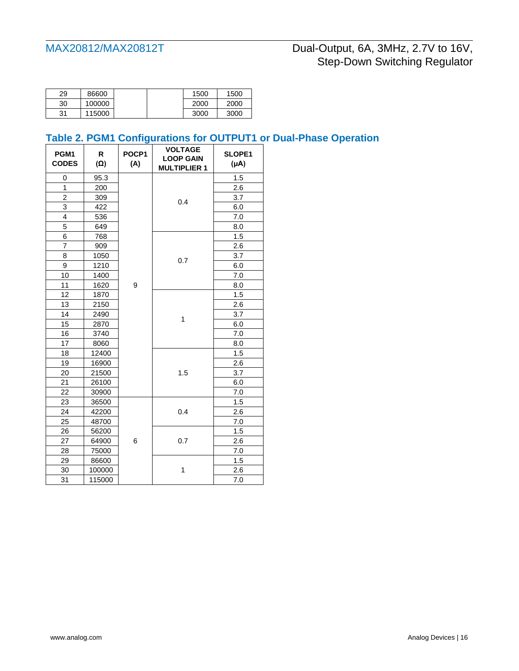| 29 | 86600  |  | 1500 |
|----|--------|--|------|
| 30 | 100000 |  | 2000 |
| 31 | 115000 |  | 3000 |

# **Table 2. PGM1 Configurations for OUTPUT1 or Dual-Phase Operation**

| PGM1<br><b>CODES</b> | R<br>$(\Omega)$ | POCP1<br>(A) | <b>VOLTAGE</b><br><b>LOOP GAIN</b><br><b>MULTIPLIER 1</b> | SLOPE1<br>(µA) |
|----------------------|-----------------|--------------|-----------------------------------------------------------|----------------|
| 0                    | 95.3            |              |                                                           | 1.5            |
| 1                    | 200             |              |                                                           | 2.6            |
| $\overline{c}$       | 309             |              | 0.4                                                       | 3.7            |
| 3                    | 422             |              |                                                           | 6.0            |
| 4                    | 536             |              |                                                           | 7.0            |
| 5                    | 649             |              |                                                           | 8.0            |
| 6                    | 768             |              |                                                           | 1.5            |
| $\overline{7}$       | 909             |              |                                                           | 2.6            |
| 8                    | 1050            |              | 0.7                                                       | 3.7            |
| 9                    | 1210            |              |                                                           | 6.0            |
| 10                   | 1400            |              |                                                           | 7.0            |
| 11                   | 1620            | 9            |                                                           | 8.0            |
| 12                   | 1870            |              |                                                           | 1.5            |
| 13                   | 2150            |              | 1                                                         | 2.6            |
| 14                   | 2490            |              |                                                           | 3.7            |
| 15                   | 2870            |              |                                                           | 6.0            |
| 16                   | 3740            |              |                                                           | 7.0            |
| 17                   | 8060            |              |                                                           | 8.0            |
| 18                   | 12400           |              |                                                           | 1.5            |
| 19                   | 16900           |              |                                                           | 2.6            |
| 20                   | 21500           |              | 1.5                                                       | 3.7            |
| 21                   | 26100           |              |                                                           | 6.0            |
| 22                   | 30900           |              |                                                           | 7.0            |
| 23                   | 36500           |              |                                                           | 1.5            |
| 24                   | 42200           |              | 0.4                                                       | 2.6            |
| 25                   | 48700           |              |                                                           | 7.0            |
| 26                   | 56200           |              |                                                           | 1.5            |
| 27                   | 64900           | 6            | 0.7                                                       | 2.6            |
| 28                   | 75000           |              |                                                           | 7.0            |
| 29                   | 86600           |              |                                                           | 1.5            |
| 30                   | 100000          |              | 1                                                         | 2.6            |
| 31                   | 115000          |              |                                                           | 7.0            |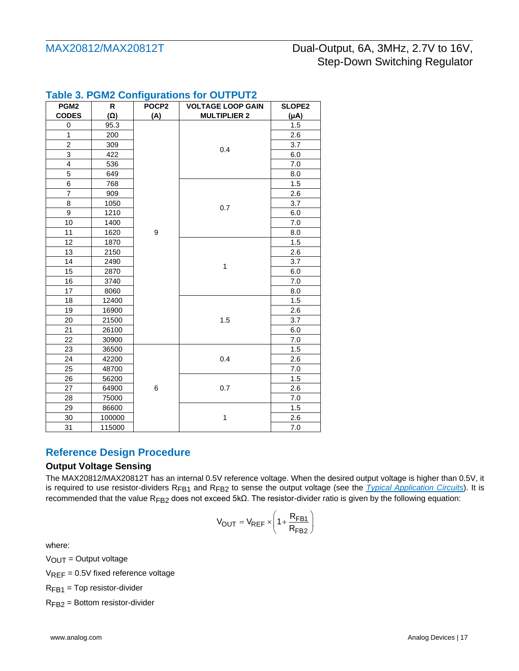| PGM <sub>2</sub> | R          | POCP <sub>2</sub> | <b>VOLTAGE LOOP GAIN</b> | <b>SLOPE2</b> |
|------------------|------------|-------------------|--------------------------|---------------|
| <b>CODES</b>     | $(\Omega)$ | (A)               | <b>MULTIPLIER 2</b>      | $(\mu A)$     |
| 0                | 95.3       |                   |                          | 1.5           |
| $\mathbf{1}$     | 200        |                   |                          | 2.6           |
| $\overline{c}$   | 309        |                   | 0.4                      | 3.7           |
| 3                | 422        |                   |                          | 6.0           |
| 4                | 536        |                   |                          | 7.0           |
| 5                | 649        |                   |                          | 8.0           |
| 6                | 768        |                   |                          | 1.5           |
| 7                | 909        |                   |                          | 2.6           |
| 8                | 1050       |                   | 0.7                      | 3.7           |
| 9                | 1210       |                   |                          | 6.0           |
| 10               | 1400       |                   |                          | 7.0           |
| 11               | 1620       | 9                 |                          | 8.0           |
| 12               | 1870       |                   |                          | 1.5           |
| 13               | 2150       |                   |                          | 2.6           |
| 14               | 2490       | 1                 |                          | 3.7           |
| 15               | 2870       |                   |                          | 6.0           |
| 16               | 3740       |                   |                          | 7.0           |
| 17               | 8060       |                   |                          | 8.0           |
| 18               | 12400      |                   |                          | 1.5           |
| 19               | 16900      |                   |                          | 2.6           |
| 20               | 21500      |                   | 1.5                      | 3.7           |
| 21               | 26100      |                   |                          | 6.0           |
| 22               | 30900      |                   |                          | 7.0           |
| 23               | 36500      |                   |                          | 1.5           |
| 24               | 42200      |                   | 0.4                      | 2.6           |
| 25               | 48700      |                   |                          | 7.0           |
| 26               | 56200      |                   |                          | 1.5           |
| 27               | 64900      | 6<br>0.7          |                          | 2.6           |
| 28               | 75000      |                   |                          | 7.0           |
| 29               | 86600      |                   |                          | 1.5           |
| 30               | 100000     |                   | 1                        | 2.6           |
| 31               | 115000     |                   |                          | 7.0           |

## **Table 3. PGM2 Configurations for OUTPUT2**

## **Reference Design Procedure**

### **Output Voltage Sensing**

The MAX20812/MAX20812T has an internal 0.5V reference voltage. When the desired output voltage is higher than 0.5V, it is required to use resistor-dividers R<sub>FB1</sub> and R<sub>FB2</sub> to sense the output voltage (see the *[Typical Application Circuits](#page-22-0)*). It is recommended that the value R<sub>FB2</sub> does not exceed 5kΩ. The resistor-divider ratio is given by the following equation:

$$
V_{OUT} = V_{REF} \times \left(1 + \frac{R_{FB1}}{R_{FB2}}\right)
$$

where:

 $V<sub>OUT</sub> = Output voltage$ 

 $V_{REF} = 0.5V$  fixed reference voltage

 $R_{FB1}$  = Top resistor-divider

RFB2 = Bottom resistor-divider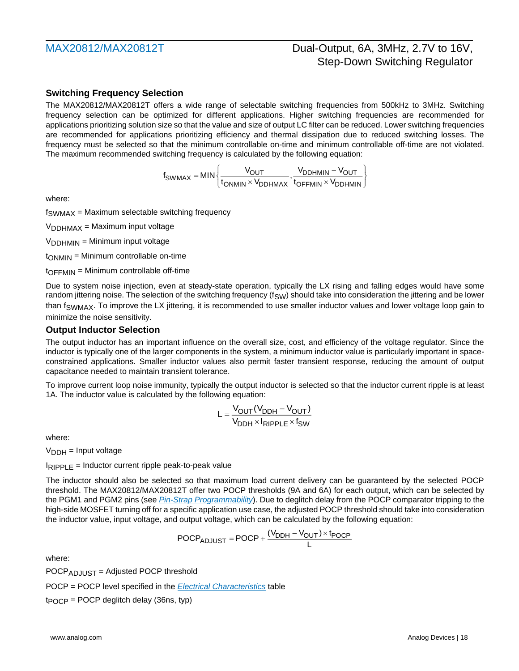### **Switching Frequency Selection**

The MAX20812/MAX20812T offers a wide range of selectable switching frequencies from 500kHz to 3MHz. Switching frequency selection can be optimized for different applications. Higher switching frequencies are recommended for applications prioritizing solution size so that the value and size of output LC filter can be reduced. Lower switching frequencies are recommended for applications prioritizing efficiency and thermal dissipation due to reduced switching losses. The frequency must be selected so that the minimum controllable on-time and minimum controllable off-time are not violated. The maximum recommended switching frequency is calculated by the following equation:

$$
f_{SWMAX} = MIN \left\{ \frac{V_{OUT}}{t_{ONMIN} \times V_{DDHMAX}}, \frac{V_{DDHMIN} - V_{OUT}}{t_{OFFMIN} \times V_{DDHMIN}} \right\}
$$

where:

 $f<sub>SWMAX</sub>$  = Maximum selectable switching frequency

 $V<sub>DDHMAX</sub> = Maximum input voltage$ 

 $V<sub>DDHMIN</sub> = Minimum input voltage$ 

 $t<sub>OMMN</sub> = Minimum controlled$ 

 $to$ FFMIN = Minimum controllable off-time

Due to system noise injection, even at steady-state operation, typically the LX rising and falling edges would have some random jittering noise. The selection of the switching frequency ( $f_{SW}$ ) should take into consideration the jittering and be lower than f<sub>SWMAX</sub>. To improve the LX jittering, it is recommended to use smaller inductor values and lower voltage loop gain to minimize the noise sensitivity.

#### **Output Inductor Selection**

The output inductor has an important influence on the overall size, cost, and efficiency of the voltage regulator. Since the inductor is typically one of the larger components in the system, a minimum inductor value is particularly important in spaceconstrained applications. Smaller inductor values also permit faster transient response, reducing the amount of output capacitance needed to maintain transient tolerance.

To improve current loop noise immunity, typically the output inductor is selected so that the inductor current ripple is at least 1A. The inductor value is calculated by the following equation:

$$
L = \frac{V_{OUT}(V_{DDH} - V_{OUT})}{V_{DDH} \times I_{RIPPLE} \times f_{SW}}
$$

where:

 $V<sub>DDH</sub>$  = Input voltage

 $I_{RIPPLE}$  = Inductor current ripple peak-to-peak value

The inductor should also be selected so that maximum load current delivery can be guaranteed by the selected POCP threshold. The MAX20812/MAX20812T offer two POCP thresholds (9A and 6A) for each output, which can be selected by the PGM1 and PGM2 pins (see *[Pin-Strap Programmability](#page-14-0)*). Due to deglitch delay from the POCP comparator tripping to the high-side MOSFET turning off for a specific application use case, the adjusted POCP threshold should take into consideration the inductor value, input voltage, and output voltage, which can be calculated by the following equation:<br>POCP<sub>ADJUST</sub> = POCP +  $\frac{(V_{DDH} - V_{OUT}) \times t_{POCP}}{l}$ 

$$
POCP_{ADJUST} = POCP + \frac{(V_{DDH} - V_{OUT}) \times t_{POCP}}{L}
$$

where:

POCPADJUST = Adjusted POCP threshold

POCP = POCP level specified in the *Electrical Characteristics* table

 $tpOCP = POCP$  deglitch delay (36ns, typ)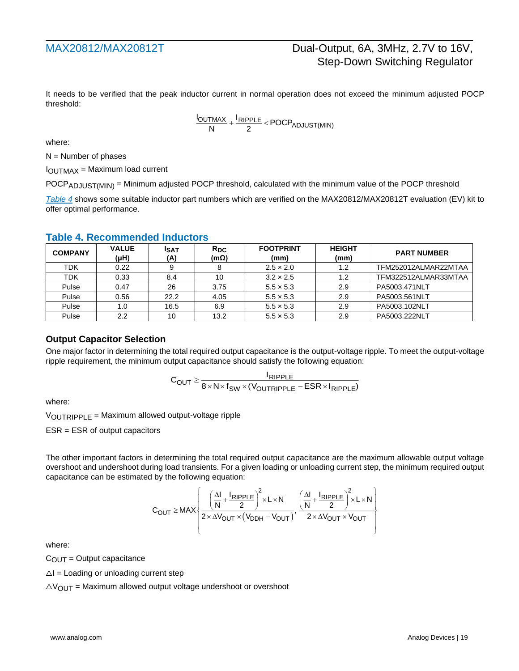It needs to be verified that the peak inductor current in normal operation does not exceed the minimum adjusted POCP threshold:

$$
\frac{I_{OUTMAX}}{N} + \frac{I_{RIPPLE}}{2} < PCCP_{ADJUST(MIN)}
$$

where:

 $N =$  Number of phases

 $I<sub>OUTMAX</sub> = Maximum load current$ 

POCP<sub>ADJUST(MIN)</sub> = Minimum adjusted POCP threshold, calculated with the minimum value of the POCP threshold

*[Table 4](#page-20-0)* shows some suitable inductor part numbers which are verified on the MAX20812/MAX20812T evaluation (EV) kit to offer optimal performance.

| I UMIV TI I IVVVIIIIIIVIIVVU IIIVUVIVIV |                      |                    |                         |                          |                       |                      |  |  |
|-----------------------------------------|----------------------|--------------------|-------------------------|--------------------------|-----------------------|----------------------|--|--|
| <b>COMPANY</b>                          | <b>VALUE</b><br>(µH) | <b>ISAT</b><br>(A) | $R_{DC}$<br>$(m\Omega)$ | <b>FOOTPRINT</b><br>(mm) | <b>HEIGHT</b><br>(mm) | <b>PART NUMBER</b>   |  |  |
| TDK                                     | 0.22                 |                    | 8                       | $2.5 \times 2.0$         | 1.2                   | TFM252012ALMAR22MTAA |  |  |
| <b>TDK</b>                              | 0.33                 | 8.4                | 10                      | $3.2 \times 2.5$         | 1.2                   | TFM322512ALMAR33MTAA |  |  |
| Pulse                                   | 0.47                 | 26                 | 3.75                    | $5.5 \times 5.3$         | 2.9                   | PA5003.471NLT        |  |  |
| Pulse                                   | 0.56                 | 22.2               | 4.05                    | $5.5 \times 5.3$         | 2.9                   | PA5003.561NLT        |  |  |
| Pulse                                   | 1.0                  | 16.5               | 6.9                     | $5.5 \times 5.3$         | 2.9                   | PA5003.102NLT        |  |  |
| Pulse                                   | 2.2                  | 10                 | 13.2                    | $5.5 \times 5.3$         | 2.9                   | PA5003.222NLT        |  |  |

#### **Table 4. Recommended Inductors**

### **Output Capacitor Selection**

One major factor in determining the total required output capacitance is the output-voltage ripple. To meet the output-voltage ripple requirement, the minimum output capacitance should satisfy the following equation:

$$
C_{OUT} \geq \frac{I_{RIPPLE}}{8 \times N \times f_{SW} \times (V_{OUTRIPPLE} - ESR \times I_{RIPPLE})}
$$

where:

VOUTRIPPLE = Maximum allowed output-voltage ripple

ESR = ESR of output capacitors

The other important factors in determining the total required output capacitance are the maximum allowable output voltage overshoot and undershoot during load transients. For a given loading or unloading current step, the minimum required output capacitance can be estimated by the following equation:

$$
C_{OUT} \ge MAX \left\{\frac{\left(\frac{\Delta I}{N} + \frac{I_{RIPPLE}}{2}\right)^2 \times L \times N}{2 \times \Delta V_{OUT} \times \left(V_{DDH} - V_{OUT}\right)}, \frac{\left(\frac{\Delta I}{N} + \frac{I_{RIPPLE}}{2}\right)^2 \times L \times N}{2 \times \Delta V_{OUT} \times V_{OUT}}\right\}
$$

where:

 $C<sub>OUT</sub> = Output capacitor$ 

 $\triangle I$  = Loading or unloading current step

 $\triangle V_{\text{OUT}}$  = Maximum allowed output voltage undershoot or overshoot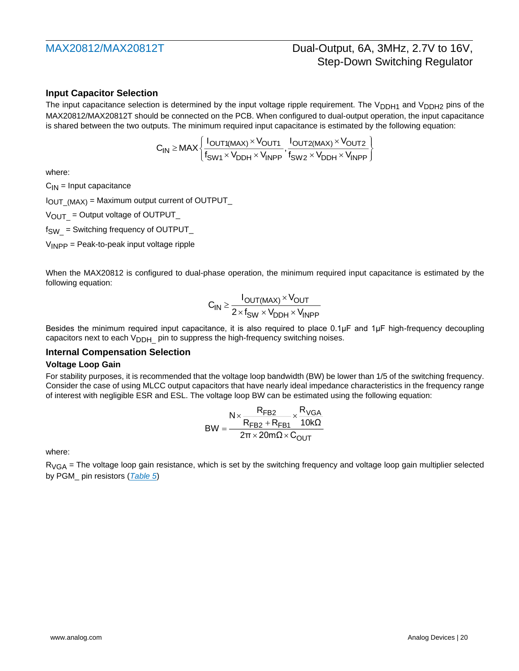### **Input Capacitor Selection**

The input capacitance selection is determined by the input voltage ripple requirement. The  $V_{DDH1}$  and  $V_{DDH2}$  pins of the MAX20812/MAX20812T should be connected on the PCB. When configured to dual-output operation, the input capacitance is shared between the two outputs. The minimum required input capacitance is estimated by the following equation:

$$
C_{IN} \ge MAX \left\{ \frac{I_{OUT1(MAX)} \times V_{OUT1}}{f_{SW1} \times V_{DDH} \times V_{INPP}}, \frac{I_{OUT2(MAX)} \times V_{OUT2}}{f_{SW2} \times V_{DDH} \times V_{INPP}} \right\}
$$

where:

 $C_{IN}$  = Input capacitance

 $I_{\text{OUT (MAX)}}$  = Maximum output current of OUTPUT\_

 $V_{\text{OUT}}$  = Output voltage of OUTPUT\_

 $f_{SW}$  = Switching frequency of OUTPUT\_

 $V_{\text{INPP}}$  = Peak-to-peak input voltage ripple

When the MAX20812 is configured to dual-phase operation, the minimum required input capacitance is estimated by the following equation:

$$
C_{IN} \ge \frac{I_{OUT(MAX)} \times V_{OUT}}{2 \times f_{SW} \times V_{DDH} \times V_{INPP}}
$$

Besides the minimum required input capacitance, it is also required to place 0.1µF and 1µF high-frequency decoupling capacitors next to each  $V_{\text{DDH}}$  pin to suppress the high-frequency switching noises.

#### <span id="page-19-0"></span>**Internal Compensation Selection**

#### **Voltage Loop Gain**

For stability purposes, it is recommended that the voltage loop bandwidth (BW) be lower than 1/5 of the switching frequency. Consider the case of using MLCC output capacitors that have nearly ideal impedance characteristics in the frequency range of interest with negligible ESR and ESL. The voltage loop BW can be estimated using the following equation:

$$
BW = \frac{N \times \frac{R_{FB2}}{R_{FB2} + R_{FB1}} \times \frac{R_{VGA}}{10k\Omega}}{2\pi \times 20m\Omega \times C_{OUT}}
$$

where:

 $R_{VGA}$  = The voltage loop gain resistance, which is set by the switching frequency and voltage loop gain multiplier selected by PGM\_ pin resistors (*[Table 5](#page-20-0)*)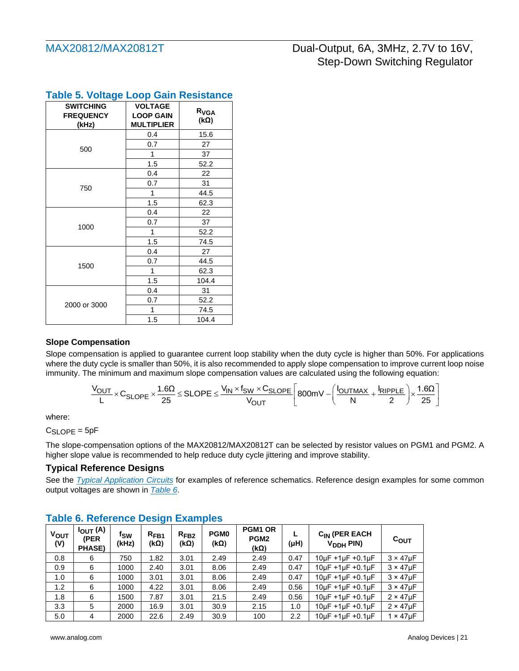| <b>SWITCHING</b><br><b>FREQUENCY</b><br>(kHz) | <b>VOLTAGE</b><br><b>LOOP GAIN</b><br><b>MULTIPLIER</b> | R <sub>VGA</sub><br>$(k\Omega)$ |
|-----------------------------------------------|---------------------------------------------------------|---------------------------------|
|                                               | 0.4                                                     | 15.6                            |
|                                               | 0.7                                                     | 27                              |
| 500                                           | 1                                                       | 37                              |
|                                               | 1.5                                                     | 52.2                            |
|                                               | 0.4                                                     | 22                              |
|                                               | 0.7                                                     | 31                              |
| 750                                           | 1                                                       | 44.5                            |
|                                               | 1.5                                                     | 62.3                            |
|                                               | 0.4                                                     | 22                              |
|                                               | 0.7                                                     | 37                              |
| 1000                                          | 1                                                       | 52.2                            |
|                                               | 1.5                                                     | 74.5                            |
|                                               | 0.4                                                     | 27                              |
|                                               | 0.7                                                     | 44.5                            |
| 1500                                          | 1                                                       | 62.3                            |
|                                               | 1.5                                                     | 104.4                           |
|                                               | 0.4                                                     | 31                              |
|                                               | 0.7                                                     | 52.2                            |
| 2000 or 3000                                  | 1                                                       | 74.5                            |
|                                               | 1.5                                                     | 104.4                           |

# <span id="page-20-0"></span>**Table 5. Voltage Loop Gain Resistance**

### **Slope Compensation**

Slope compensation is applied to guarantee current loop stability when the duty cycle is higher than 50%. For applications where the duty cycle is smaller than 50%, it is also recommended to apply slope compensation to improve current loop noise immunity. The minimum and maximum slope compensation values are calculated using the following equation:

$$
\frac{V_{OUT}}{L} \times C_{SLOPE} \times \frac{1.6 \Omega}{25} \leq SLOPE \leq \frac{V_{IN} \times f_{SW} \times C_{SLOPE}}{V_{OUT}} \Bigg[800 mV - \Bigg(\frac{I_{OUTMAX}}{N} + \frac{I_{RIPPLE}}{2}\Bigg) \times \frac{1.6 \Omega}{25}\Bigg]
$$

where:

CSLOPE = 5pF

The slope-compensation options of the MAX20812/MAX20812T can be selected by resistor values on PGM1 and PGM2. A higher slope value is recommended to help reduce duty cycle jittering and improve stability.

## **Typical Reference Designs**

See the *[Typical Application Circuits](#page-22-0)* for examples of reference schematics. Reference design examples for some common output voltages are shown in *[Table 6](#page-20-1)*.

| <b>VOUT</b><br>(V) | $I_{OUT}$ (A)<br>(PER<br><b>PHASE)</b> | fsw<br>(kHz) | $R_{FB1}$<br>(kΩ) | $R_{FB2}$<br>(kΩ) | PGM <sub>0</sub><br>$(k\Omega)$ | PGM1 OR<br>PGM <sub>2</sub><br>$(k\Omega)$ | $(\mu H)$ | C <sub>IN</sub> (PER EACH<br>V <sub>DDH</sub> PIN) | $c_{\text{OUT}}$    |
|--------------------|----------------------------------------|--------------|-------------------|-------------------|---------------------------------|--------------------------------------------|-----------|----------------------------------------------------|---------------------|
| 0.8                | 6                                      | 750          | 1.82              | 3.01              | 2.49                            | 2.49                                       | 0.47      | $10\mu$ F +1 $\mu$ F +0.1 $\mu$ F                  | $3 \times 47 \mu F$ |
| 0.9                | 6                                      | 1000         | 2.40              | 3.01              | 8.06                            | 2.49                                       | 0.47      | $10\mu$ F +1 $\mu$ F +0.1 $\mu$ F                  | $3 \times 47$ uF    |
| 1.0                | 6                                      | 1000         | 3.01              | 3.01              | 8.06                            | 2.49                                       | 0.47      | $10\mu F + 1\mu F + 0.1\mu F$                      | $3 \times 47$ uF    |
| 1.2                | 6                                      | 1000         | 4.22              | 3.01              | 8.06                            | 2.49                                       | 0.56      | $10\mu$ F +1 $\mu$ F +0.1 $\mu$ F                  | $3 \times 47 \mu F$ |
| 1.8                | 6                                      | 1500         | 7.87              | 3.01              | 21.5                            | 2.49                                       | 0.56      | $10\mu$ F +1 $\mu$ F +0.1 $\mu$ F                  | $2 \times 47$ uF    |
| 3.3                | 5                                      | 2000         | 16.9              | 3.01              | 30.9                            | 2.15                                       | 1.0       | $10\mu F + 1\mu F + 0.1\mu F$                      | $2 \times 47$ uF    |
| 5.0                | 4                                      | 2000         | 22.6              | 2.49              | 30.9                            | 100                                        | 2.2       | $10\mu F + 1\mu F + 0.1\mu F$                      | $1 \times 47$ uF    |

## <span id="page-20-1"></span>**Table 6. Reference Design Examples**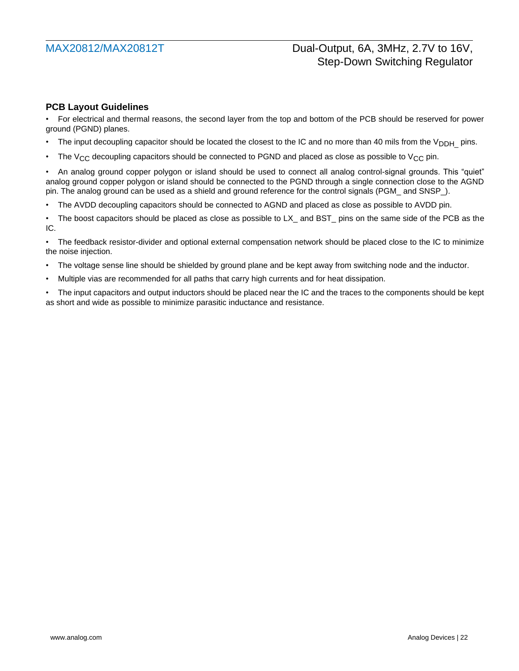### **PCB Layout Guidelines**

• For electrical and thermal reasons, the second layer from the top and bottom of the PCB should be reserved for power ground (PGND) planes.

- The input decoupling capacitor should be located the closest to the IC and no more than 40 mils from the  $V_{\text{DDH}}$  pins.
- The  $V_{CC}$  decoupling capacitors should be connected to PGND and placed as close as possible to  $V_{CC}$  pin.

• An analog ground copper polygon or island should be used to connect all analog control-signal grounds. This "quiet" analog ground copper polygon or island should be connected to the PGND through a single connection close to the AGND pin. The analog ground can be used as a shield and ground reference for the control signals (PGM\_ and SNSP\_).

• The AVDD decoupling capacitors should be connected to AGND and placed as close as possible to AVDD pin.

• The boost capacitors should be placed as close as possible to LX\_ and BST\_ pins on the same side of the PCB as the IC.

• The feedback resistor-divider and optional external compensation network should be placed close to the IC to minimize the noise injection.

- The voltage sense line should be shielded by ground plane and be kept away from switching node and the inductor.
- Multiple vias are recommended for all paths that carry high currents and for heat dissipation.

• The input capacitors and output inductors should be placed near the IC and the traces to the components should be kept as short and wide as possible to minimize parasitic inductance and resistance.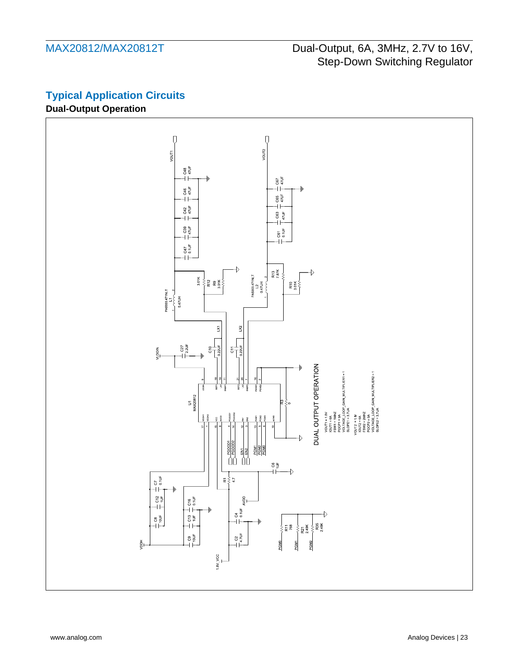# <span id="page-22-0"></span>**Typical Application Circuits**

## **Dual-Output Operation**

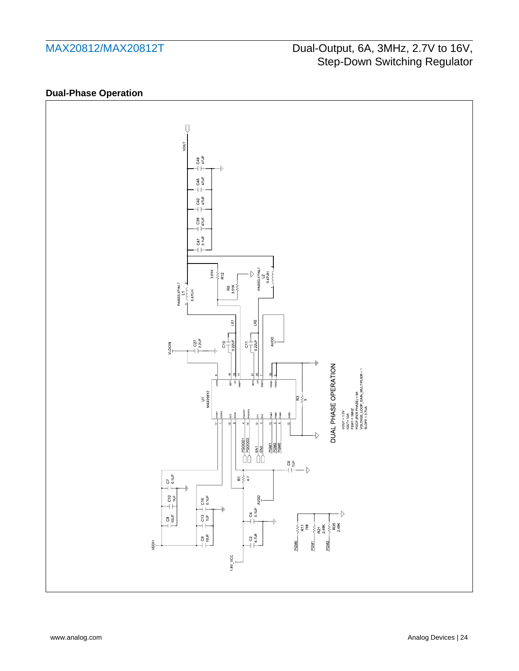## **Dual-Phase Operation**

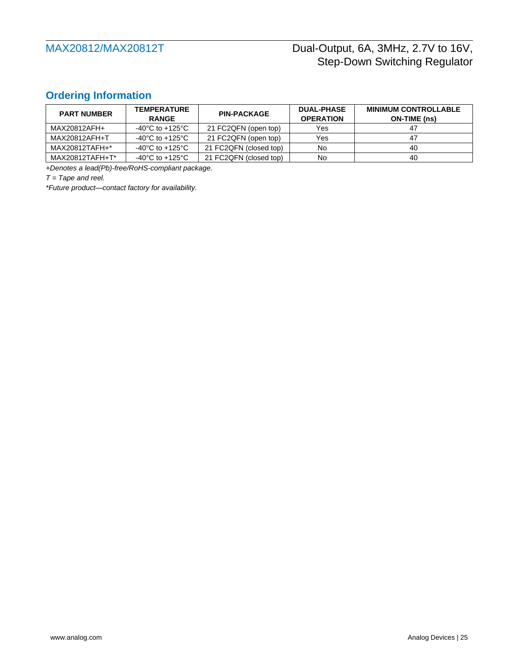## <span id="page-24-0"></span>**Ordering Information**

| <b>PART NUMBER</b> | <b>TEMPERATURE</b><br><b>RANGE</b>    | <b>PIN-PACKAGE</b>     | <b>DUAL-PHASE</b><br><b>OPERATION</b> | <b>MINIMUM CONTROLLABLE</b><br>ON-TIME (ns) |
|--------------------|---------------------------------------|------------------------|---------------------------------------|---------------------------------------------|
| MAX20812AFH+       | $-40^{\circ}$ C to $+125^{\circ}$ C   | 21 FC2QFN (open top)   | Yes                                   | 47                                          |
| MAX20812AFH+T      | $-40^{\circ}$ C to $+125^{\circ}$ C   | 21 FC2QFN (open top)   | Yes                                   | 47                                          |
| MAX20812TAFH+*     | $-40^{\circ}$ C to $+125^{\circ}$ C   | 21 FC2QFN (closed top) | No                                    | 40                                          |
| MAX20812TAFH+T*    | -40 $^{\circ}$ C to +125 $^{\circ}$ C | 21 FC2QFN (closed top) | No                                    | 40                                          |

*+Denotes a lead(Pb)-free/RoHS-compliant package.*

*T = Tape and reel.*

*\*Future product—contact factory for availability.*